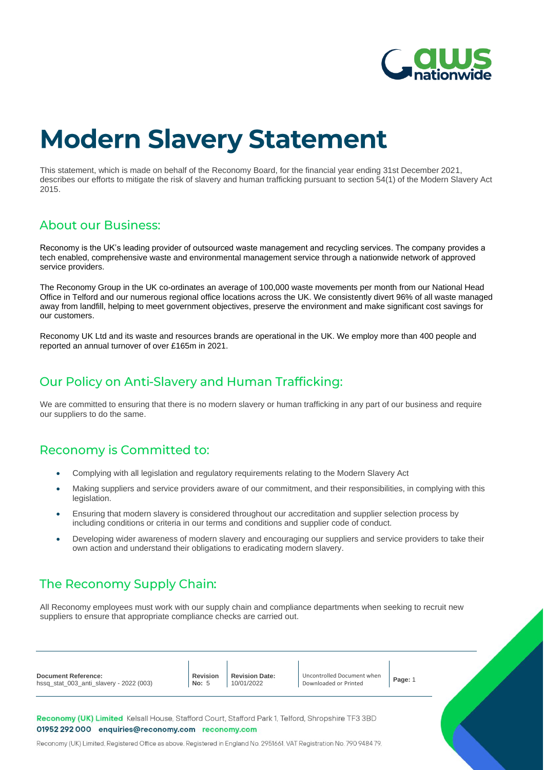

# **Modern Slavery Statement**

This statement, which is made on behalf of the Reconomy Board, for the financial year ending 31st December 2021, describes our efforts to mitigate the risk of slavery and human trafficking pursuant to section 54(1) of the Modern Slavery Act 2015.

## **About our Business:**

Reconomy is the UK's leading provider of outsourced waste management and recycling services. The company provides a tech enabled, comprehensive waste and environmental management service through a nationwide network of approved service providers.

The Reconomy Group in the UK co-ordinates an average of 100,000 waste movements per month from our National Head Office in Telford and our numerous regional office locations across the UK. We consistently divert 96% of all waste managed away from landfill, helping to meet government objectives, preserve the environment and make significant cost savings for our customers.

Reconomy UK Ltd and its waste and resources brands are operational in the UK. We employ more than 400 people and reported an annual turnover of over £165m in 2021.

## Our Policy on Anti-Slavery and Human Trafficking:

We are committed to ensuring that there is no modern slavery or human trafficking in any part of our business and require our suppliers to do the same.

# Reconomy is Committed to:

- Complying with all legislation and regulatory requirements relating to the Modern Slavery Act
- Making suppliers and service providers aware of our commitment, and their responsibilities, in complying with this legislation.
- Ensuring that modern slavery is considered throughout our accreditation and supplier selection process by including conditions or criteria in our terms and conditions and supplier code of conduct.
- Developing wider awareness of modern slavery and encouraging our suppliers and service providers to take their own action and understand their obligations to eradicating modern slavery.

# The Reconomy Supply Chain:

All Reconomy employees must work with our supply chain and compliance departments when seeking to recruit new suppliers to ensure that appropriate compliance checks are carried out.

Reconomy (UK) Limited, Registered Office as above. Registered in England No. 2951661. VAT Registration No. 790 948479.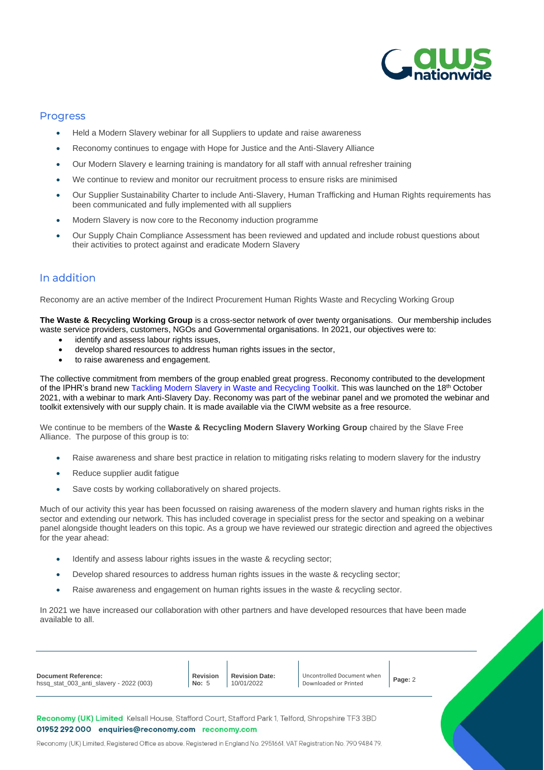

#### **Progress**

- Held a Modern Slavery webinar for all Suppliers to update and raise awareness
- Reconomy continues to engage with Hope for Justice and the Anti-Slavery Alliance
- Our Modern Slavery e learning training is mandatory for all staff with annual refresher training
- We continue to review and monitor our recruitment process to ensure risks are minimised
- Our Supplier Sustainability Charter to include Anti-Slavery, Human Trafficking and Human Rights requirements has been communicated and fully implemented with all suppliers
- Modern Slavery is now core to the Reconomy induction programme
- Our Supply Chain Compliance Assessment has been reviewed and updated and include robust questions about their activities to protect against and eradicate Modern Slavery

#### In addition

Reconomy are an active member of the Indirect Procurement Human Rights Waste and Recycling Working Group

**The Waste & Recycling Working Group** is a cross-sector network of over twenty organisations. Our membership includes waste service providers, customers, NGOs and Governmental organisations. In 2021, our objectives were to:

- identify and assess labour rights issues,
- develop shared resources to address human rights issues in the sector,
- to raise awareness and engagement.

The collective commitment from members of the group enabled great progress. Reconomy contributed to the development of the IPHR's brand new [Tackling Modern Slavery in Waste and Recycling Toolkit.](https://protect-eu.mimecast.com/s/XgnRCrmDLhAkK1Os7C95V?domain=circularonline.co.uk) This was launched on the 18th October 2021, with a webinar to mark Anti-Slavery Day. Reconomy was part of the webinar panel and we promoted the webinar and toolkit extensively with our supply chain. It is made available via the CIWM website as a free resource.

We continue to be members of the **Waste & Recycling Modern Slavery Working Group** chaired by the Slave Free Alliance. The purpose of this group is to:

- Raise awareness and share best practice in relation to mitigating risks relating to modern slavery for the industry
- Reduce supplier audit fatigue
- Save costs by working collaboratively on shared projects.

Much of our activity this year has been focussed on raising awareness of the modern slavery and human rights risks in the sector and extending our network. This has included coverage in specialist press for the sector and speaking on a webinar panel alongside thought leaders on this topic. As a group we have reviewed our strategic direction and agreed the objectives for the year ahead:

- Identify and assess labour rights issues in the waste & recycling sector;
- Develop shared resources to address human rights issues in the waste & recycling sector;
- Raise awareness and engagement on human rights issues in the waste & recycling sector.

In 2021 we have increased our collaboration with other partners and have developed resources that have been made available to all.

| <b>Document Reference:</b><br>hssq_stat_003_anti_slavery - 2022 (003)                                                                                     | <b>Revision</b><br>No: $5$ | <b>Revision Date:</b><br>10/01/2022 | Uncontrolled Document when<br>Downloaded or Printed | Page: 2 |  |
|-----------------------------------------------------------------------------------------------------------------------------------------------------------|----------------------------|-------------------------------------|-----------------------------------------------------|---------|--|
| Reconomy (UK) Limited Kelsall House, Stafford Court, Stafford Park 1, Telford, Shropshire TF3 3BD<br>01952 292 000<br>enquiries@reconomy.com reconomy.com |                            |                                     |                                                     |         |  |

Reconomy (UK) Limited, Registered Office as above. Registered in England No. 2951661. VAT Registration No. 790 948479.